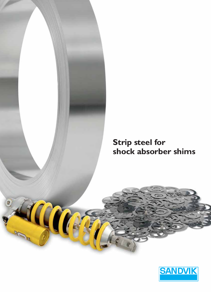

# **Strip steel for shock absorber shims**

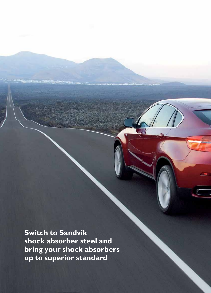**Switch to Sandvik shock absorber steel and bring your shock absorbers up to superior standard**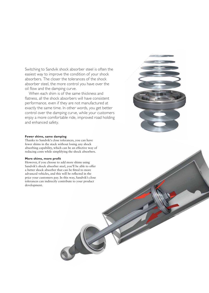Switching to Sandvik shock absorber steel is often the easiest way to improve the condition of your shock absorbers. The closer the tolerances of the shock absorber steel, the more control you have over the oil flow and the damping curve.

When each shim is of the same thickness and flatness, all the shock absorbers will have consistent performance, even if they are not manufactured at exactly the same time. In other words, you get better control over the damping curve, while your customers enjoy a more comfortable ride, improved road holding and enhanced safety.



### **Fewer shims, same damping**

Thanks to Sandvik's close tolerances, you can have fewer shims in the stack without losing any shock absorbing capability, which can be an effective way of reducing costs while simplifying the shock absorbers.

#### **More shims, more profit**

However, if you choose to add more shims using Sandvik's shock absorber steel, you'll be able to offer a better shock absorber that can be fitted to more advanced vehicles, and this will be reflected in the price your customers pay. In this way, Sandvik's close tolerances can indirectly contribute to your product development.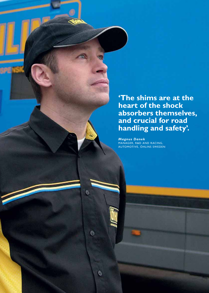**'The shims are at the heart of the shock absorbers themselves, and crucial for road handling and safety'.**

MANAGER, R&D AND RACING, AUTOMOTIVE, ÖHLINS SWEDEN

 $^{\circ}$ 

 $^{\circ}$ 

 $\circledcirc$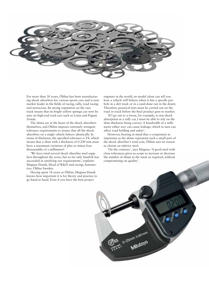

For more than 30 years, Öhlins has been manufacturing shock absorbers for various sports cars and is now market leader in the fields of racing, rally, road racing and motocross. Its strong reputation on the race track means that its bright yellow springs can now be seen on high-end road cars such as Lotus and Pagani Zonda.

The shims are at the heart of the shock absorbers themselves, and Öhlins imposes extremely stringent tolerance requirements to ensure that all the shock absorbers on a single vehicle behave identically. In terms of thickness, the specified tolerance is T4, which means that a shim with a thickness of 0.200 mm must have a maximum variation of plus or minus four thousandths of a millimetre!

'We have tried several shock absorber steel suppliers throughout the years, but so far only Sandvik has succeeded in satisfying our requirements', explains Magnus Danek, Head of R&D and racing, Automotive, Öhlins Sweden.

Having spent 18 years at Öhlins, Magnus Danek knows how important it is for theory and practice to go hand in hand. Even if you have the best project

engineer in the world, no model alone can tell you how a vehicle will behave when it hits a specific pothole in a dirt track or in a sand dune out in the desert. Therefore, practical tests must be carried out on the road or track before the final product goes to market.

'If I go out to a forest, for example, to test shock absorption in a rally car, I must be able to rely on the shim thickness being correct. A hundredth of a millimetre either way can cause leakage, which in turn can affect road holding and safety'.

However, bearing in mind that a component as important as the shims represents such a small part of the shock absorber's total cost, Öhlins sees no reason to choose an inferior steel.

'On the contrary', says Magnus. 'A good steel with close tolerances gives us scope to increase or decrease the number of shims in the stack as required, without compromising on quality'.

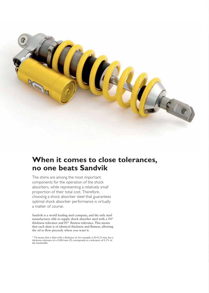

## **When it comes to close tolerances, no one beats Sandvik**

The shims are among the most important components for the operation of the shock absorbers, while representing a relatively small proportion of their total cost. Therefore, choosing a shock absorber steel that guarantees optimal shock absorber performance is virtually a matter of course.

Sandvik is a world leading steel company, and the only steel manufacturer able to supply shock absorber steel with a T4\* thickness tolerance and P2\* flatness tolerance. This means that each shim is of identical thickness and flatness, allowing the oil to flow precisely where you want it.

\* T4 means that a shim with a thickness of, for example, 0.20-0.25 mm, has a thickness tolerance of  $\pm$  0.004 mm. P2 corresponds to a tolerance of 0.3% of the bandwidth.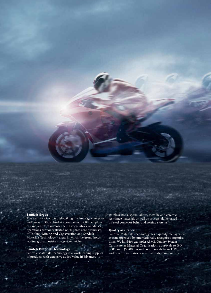### **Sandvik Group**

The Sandvik Group is a global high technology enterprise with around 300 subsidiary companies, 38,000 employees and activities in more than 130 countries. Sandvik's operations are concentrated on its three core businesses of Tooling, Mining and Construction and Sandvik Materials Technology – areas in which the group holds leading global positions in selected niches.

### **Sandvik Materials Technology**

Sandvik Materials Technology is a worldleading supplier of products with extensive added value in advanced

stainless steels, special alloys, metallic and ceramic resistance materials as well as process plants based on steel conveyor belts, and sorting systems.

### **Quality assurance**

Sandvik Materials Technology has a quality management system approved by internationally recognised organisations. We hold for example: ASME Quality System Certificate as Material Organisation, approvals to ISO 9001 and QS 9000 as well as approvals from TÜV, JIS and other organisations as a materials manufacturer.